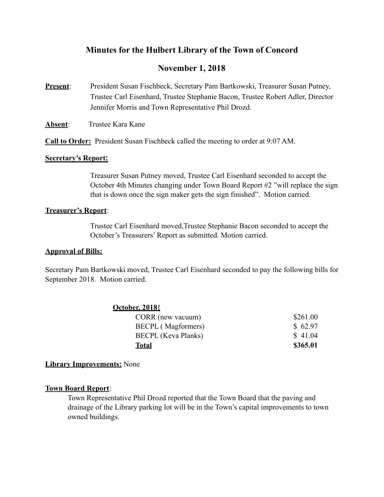## **Minutes for the Hulbert Library of the Town of Concord**

# **November 1, 2018**

- **Present:** President Susan Fischbeck, Secretary Pam Bartkowski, Treasurer Susan Putney, Trustee Carl Eisenhard, Trustee Stephanie Bacon, Trustee Robert Adler, Director Jennifer Morris and Town Representative Phil Drozd.
- Absent: Trustee Kara Kane

**Call to Order:** President Susan Fischbeck called the meeting to order at 9:07 AM.

#### **Secretary's Report:**

Treasurer Susan Putney moved, Trustee Carl Eisenhard seconded to accept the October 4th Minutes changing under Town Board Report #2 "will replace the sign that is down once the sign maker gets the sign finished". Motion carried.

### **Treasurer's Report**:

 Trustee Carl Eisenhard moved,Trustee Stephanie Bacon seconded to accept the October's Treasurers' Report as submitted. Motion carried.

### **Approval of Bills:**

Secretary Pam Bartkowski moved, Trustee Carl Eisenhard seconded to pay the following bills for September 2018. Motion carried.

| <b>October, 2018</b>       |          |
|----------------------------|----------|
| CORR (new vacuum)          | \$261.00 |
| <b>BECPL</b> (Magformers)  | \$62.97  |
| <b>BECPL</b> (Keva Planks) | \$41.04  |
| <b>Total</b>               | \$365.01 |

## **Library Improvements:** None

### **Town Board Report**:

 Town Representative Phil Drozd reported that the Town Board that the paving and drainage of the Library parking lot will be in the Town's capital improvements to town owned buildings.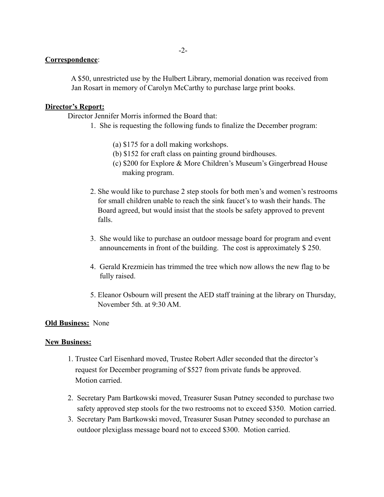#### **Correspondence**:

 A \$50, unrestricted use by the Hulbert Library, memorial donation was received from Jan Rosart in memory of Carolyn McCarthy to purchase large print books.

#### **Director's Report:**

Director Jennifer Morris informed the Board that:

- 1. She is requesting the following funds to finalize the December program:
	- (a) \$175 for a doll making workshops.
	- (b) \$152 for craft class on painting ground birdhouses.
	- (c) \$200 for Explore & More Children's Museum's Gingerbread House making program.
- 2. She would like to purchase 2 step stools for both men's and women's restrooms for small children unable to reach the sink faucet's to wash their hands. The Board agreed, but would insist that the stools be safety approved to prevent falls.
- 3. She would like to purchase an outdoor message board for program and event announcements in front of the building. The cost is approximately \$ 250.
- 4. Gerald Krezmiein has trimmed the tree which now allows the new flag to be fully raised.
- 5. Eleanor Osbourn will present the AED staff training at the library on Thursday, November 5th. at 9:30 AM.

#### **Old Business:** None

#### **New Business:**

- 1. Trustee Carl Eisenhard moved, Trustee Robert Adler seconded that the director's request for December programing of \$527 from private funds be approved. Motion carried.
- 2. Secretary Pam Bartkowski moved, Treasurer Susan Putney seconded to purchase two safety approved step stools for the two restrooms not to exceed \$350. Motion carried.
- 3. Secretary Pam Bartkowski moved, Treasurer Susan Putney seconded to purchase an outdoor plexiglass message board not to exceed \$300. Motion carried.